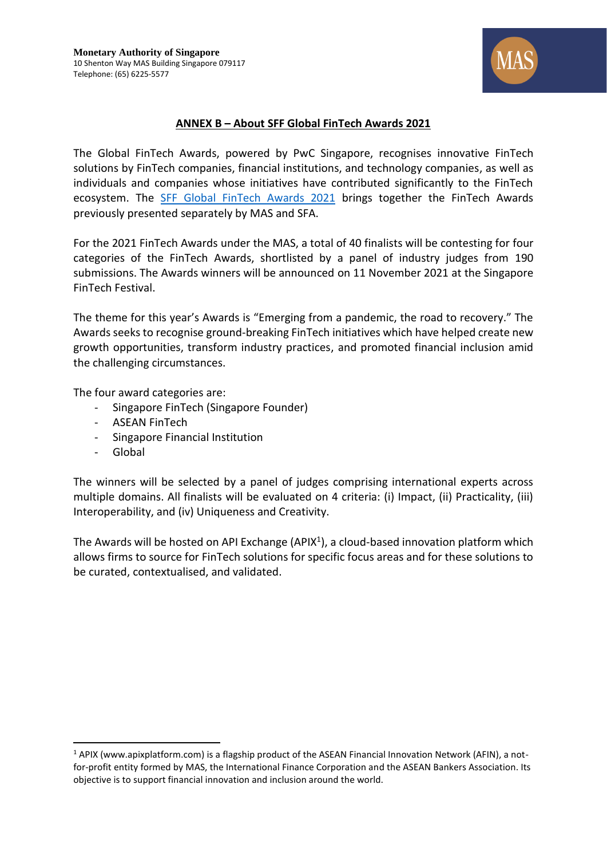

## **ANNEX B – About SFF Global FinTech Awards 2021**

The Global FinTech Awards, powered by PwC Singapore, recognises innovative FinTech solutions by FinTech companies, financial institutions, and technology companies, as well as individuals and companies whose initiatives have contributed significantly to the FinTech ecosystem. The [SFF Global FinTech Awards 2021](https://www.mas.gov.sg/news/media-releases/2021/mas-and-sfa-invite-entries-for-2021-fintech-awards) brings together the FinTech Awards previously presented separately by MAS and SFA.

For the 2021 FinTech Awards under the MAS, a total of 40 finalists will be contesting for four categories of the FinTech Awards, shortlisted by a panel of industry judges from 190 submissions. The Awards winners will be announced on 11 November 2021 at the Singapore FinTech Festival.

The theme for this year's Awards is "Emerging from a pandemic, the road to recovery." The Awards seeks to recognise ground-breaking FinTech initiatives which have helped create new growth opportunities, transform industry practices, and promoted financial inclusion amid the challenging circumstances.

The four award categories are:

- Singapore FinTech (Singapore Founder)
- ASEAN FinTech
- Singapore Financial Institution
- Global

The winners will be selected by a panel of judges comprising international experts across multiple domains. All finalists will be evaluated on 4 criteria: (i) Impact, (ii) Practicality, (iii) Interoperability, and (iv) Uniqueness and Creativity.

The Awards will be hosted on API Exchange (APIX<sup>1</sup>), a cloud-based innovation platform which allows firms to source for FinTech solutions for specific focus areas and for these solutions to be curated, contextualised, and validated.

<sup>1</sup> APIX [\(www.apixplatform.com\)](https://www.mas.gov.sg/news/media-releases/2021/www.apixplatform.com) is a flagship product of the ASEAN Financial Innovation Network (AFIN), a notfor-profit entity formed by MAS, the International Finance Corporation and the ASEAN Bankers Association. Its objective is to support financial innovation and inclusion around the world.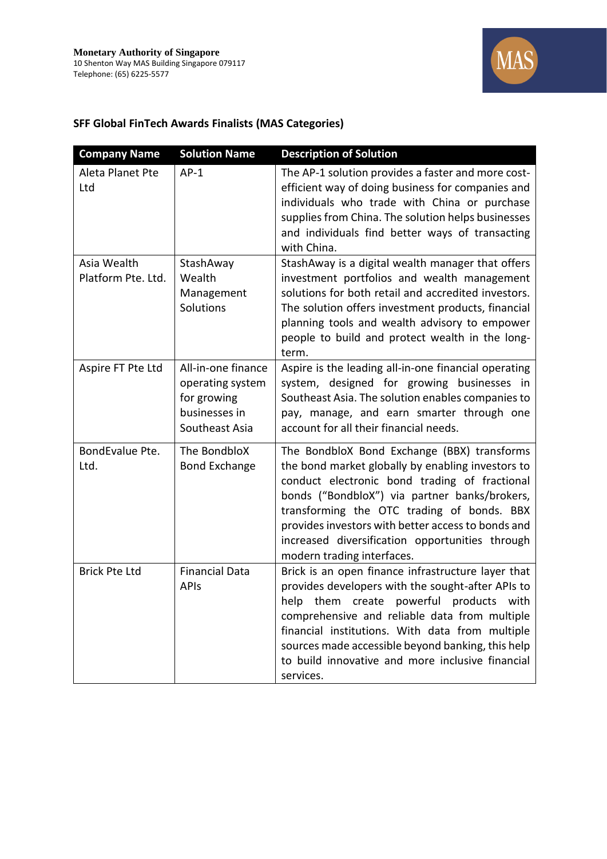

## **SFF Global FinTech Awards Finalists (MAS Categories)**

| <b>Company Name</b>               | <b>Solution Name</b>                                                                     | <b>Description of Solution</b>                                                                                                                                                                                                                                                                                                                                                          |
|-----------------------------------|------------------------------------------------------------------------------------------|-----------------------------------------------------------------------------------------------------------------------------------------------------------------------------------------------------------------------------------------------------------------------------------------------------------------------------------------------------------------------------------------|
| Aleta Planet Pte<br>Ltd           | $AP-1$                                                                                   | The AP-1 solution provides a faster and more cost-<br>efficient way of doing business for companies and<br>individuals who trade with China or purchase<br>supplies from China. The solution helps businesses<br>and individuals find better ways of transacting<br>with China.                                                                                                         |
| Asia Wealth<br>Platform Pte. Ltd. | StashAway<br>Wealth<br>Management<br>Solutions                                           | StashAway is a digital wealth manager that offers<br>investment portfolios and wealth management<br>solutions for both retail and accredited investors.<br>The solution offers investment products, financial<br>planning tools and wealth advisory to empower<br>people to build and protect wealth in the long-<br>term.                                                              |
| Aspire FT Pte Ltd                 | All-in-one finance<br>operating system<br>for growing<br>businesses in<br>Southeast Asia | Aspire is the leading all-in-one financial operating<br>system, designed for growing businesses in<br>Southeast Asia. The solution enables companies to<br>pay, manage, and earn smarter through one<br>account for all their financial needs.                                                                                                                                          |
| BondEvalue Pte.<br>Ltd.           | The BondbloX<br><b>Bond Exchange</b>                                                     | The BondbloX Bond Exchange (BBX) transforms<br>the bond market globally by enabling investors to<br>conduct electronic bond trading of fractional<br>bonds ("BondbloX") via partner banks/brokers,<br>transforming the OTC trading of bonds. BBX<br>provides investors with better access to bonds and<br>increased diversification opportunities through<br>modern trading interfaces. |
| <b>Brick Pte Ltd</b>              | <b>Financial Data</b><br><b>APIs</b>                                                     | Brick is an open finance infrastructure layer that<br>provides developers with the sought-after APIs to<br>powerful products<br>help<br>them create<br>with<br>comprehensive and reliable data from multiple<br>financial institutions. With data from multiple<br>sources made accessible beyond banking, this help<br>to build innovative and more inclusive financial<br>services.   |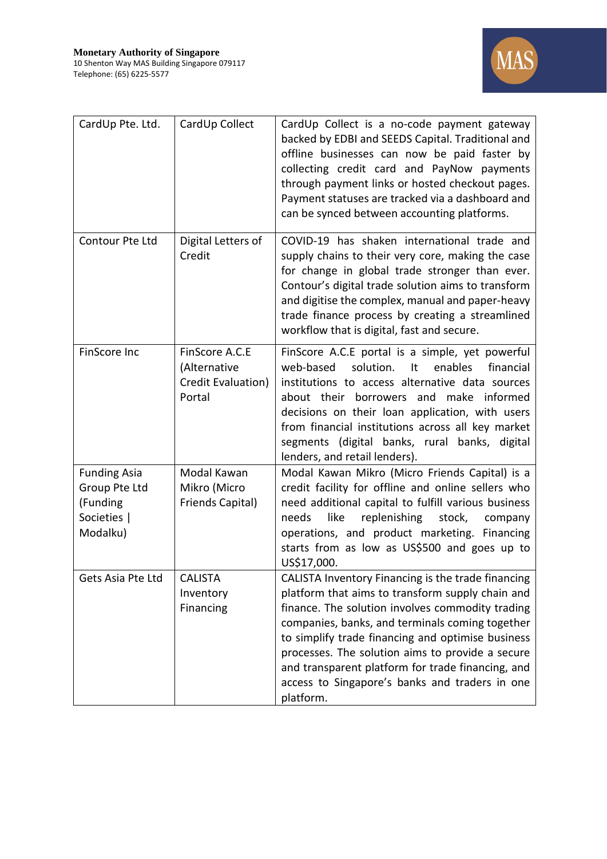

| CardUp Pte. Ltd.                                                            | CardUp Collect                                                 | CardUp Collect is a no-code payment gateway<br>backed by EDBI and SEEDS Capital. Traditional and<br>offline businesses can now be paid faster by<br>collecting credit card and PayNow payments<br>through payment links or hosted checkout pages.<br>Payment statuses are tracked via a dashboard and<br>can be synced between accounting platforms.                                                                                       |
|-----------------------------------------------------------------------------|----------------------------------------------------------------|--------------------------------------------------------------------------------------------------------------------------------------------------------------------------------------------------------------------------------------------------------------------------------------------------------------------------------------------------------------------------------------------------------------------------------------------|
| Contour Pte Ltd                                                             | Digital Letters of<br>Credit                                   | COVID-19 has shaken international trade and<br>supply chains to their very core, making the case<br>for change in global trade stronger than ever.<br>Contour's digital trade solution aims to transform<br>and digitise the complex, manual and paper-heavy<br>trade finance process by creating a streamlined<br>workflow that is digital, fast and secure.                                                                              |
| FinScore Inc                                                                | FinScore A.C.E<br>(Alternative<br>Credit Evaluation)<br>Portal | FinScore A.C.E portal is a simple, yet powerful<br>web-based<br>solution.<br>It<br>enables<br>financial<br>institutions to access alternative data sources<br>about their borrowers and make informed<br>decisions on their loan application, with users<br>from financial institutions across all key market<br>segments (digital banks, rural banks, digital<br>lenders, and retail lenders).                                            |
| <b>Funding Asia</b><br>Group Pte Ltd<br>(Funding<br>Societies  <br>Modalku) | Modal Kawan<br>Mikro (Micro<br>Friends Capital)                | Modal Kawan Mikro (Micro Friends Capital) is a<br>credit facility for offline and online sellers who<br>need additional capital to fulfill various business<br>like<br>replenishing<br>stock,<br>needs<br>company<br>operations, and product marketing. Financing<br>starts from as low as US\$500 and goes up to<br>US\$17,000.                                                                                                           |
| Gets Asia Pte Ltd                                                           | <b>CALISTA</b><br>Inventory<br>Financing                       | CALISTA Inventory Financing is the trade financing<br>platform that aims to transform supply chain and<br>finance. The solution involves commodity trading<br>companies, banks, and terminals coming together<br>to simplify trade financing and optimise business<br>processes. The solution aims to provide a secure<br>and transparent platform for trade financing, and<br>access to Singapore's banks and traders in one<br>platform. |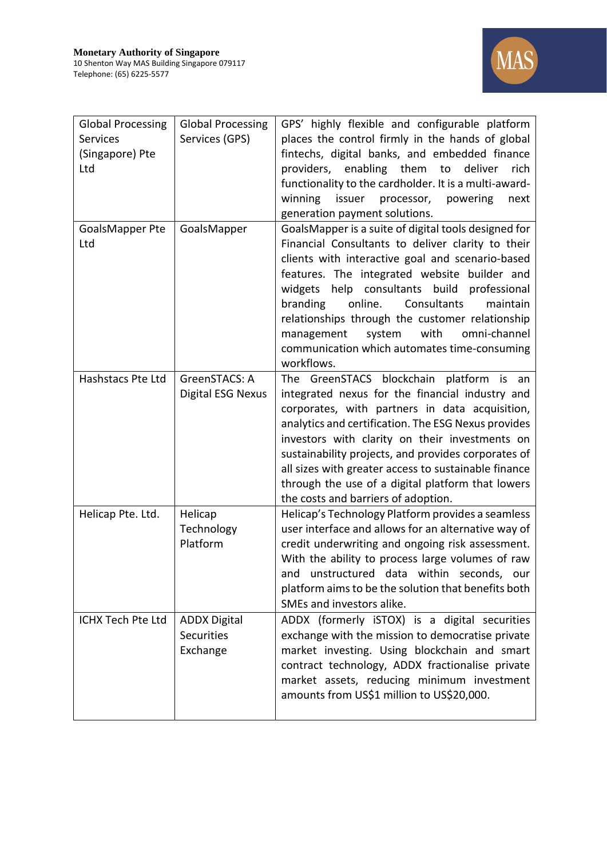

| <b>Global Processing</b><br>Services<br>(Singapore) Pte<br>Ltd | <b>Global Processing</b><br>Services (GPS)           | GPS' highly flexible and configurable platform<br>places the control firmly in the hands of global<br>fintechs, digital banks, and embedded finance<br>providers, enabling them to<br>deliver<br>rich<br>functionality to the cardholder. It is a multi-award-<br>processor, powering<br>winning<br>issuer<br>next<br>generation payment solutions.                                                                                                                                |
|----------------------------------------------------------------|------------------------------------------------------|------------------------------------------------------------------------------------------------------------------------------------------------------------------------------------------------------------------------------------------------------------------------------------------------------------------------------------------------------------------------------------------------------------------------------------------------------------------------------------|
| GoalsMapper Pte<br>Ltd                                         | GoalsMapper                                          | GoalsMapper is a suite of digital tools designed for<br>Financial Consultants to deliver clarity to their<br>clients with interactive goal and scenario-based<br>features. The integrated website builder and<br>help consultants build<br>widgets<br>professional<br>branding<br>online. Consultants<br>maintain<br>relationships through the customer relationship<br>with<br>omni-channel<br>management<br>system<br>communication which automates time-consuming<br>workflows. |
| Hashstacs Pte Ltd                                              | GreenSTACS: A<br>Digital ESG Nexus                   | The GreenSTACS blockchain platform<br>is<br>an<br>integrated nexus for the financial industry and<br>corporates, with partners in data acquisition,<br>analytics and certification. The ESG Nexus provides<br>investors with clarity on their investments on<br>sustainability projects, and provides corporates of<br>all sizes with greater access to sustainable finance<br>through the use of a digital platform that lowers<br>the costs and barriers of adoption.            |
| Helicap Pte. Ltd.                                              | Helicap<br>Technology<br>Platform                    | Helicap's Technology Platform provides a seamless<br>user interface and allows for an alternative way of<br>credit underwriting and ongoing risk assessment.<br>With the ability to process large volumes of raw<br>and unstructured data within seconds, our<br>platform aims to be the solution that benefits both<br>SMEs and investors alike.                                                                                                                                  |
| ICHX Tech Pte Ltd                                              | <b>ADDX Digital</b><br><b>Securities</b><br>Exchange | ADDX (formerly iSTOX) is a digital securities<br>exchange with the mission to democratise private<br>market investing. Using blockchain and smart<br>contract technology, ADDX fractionalise private<br>market assets, reducing minimum investment<br>amounts from US\$1 million to US\$20,000.                                                                                                                                                                                    |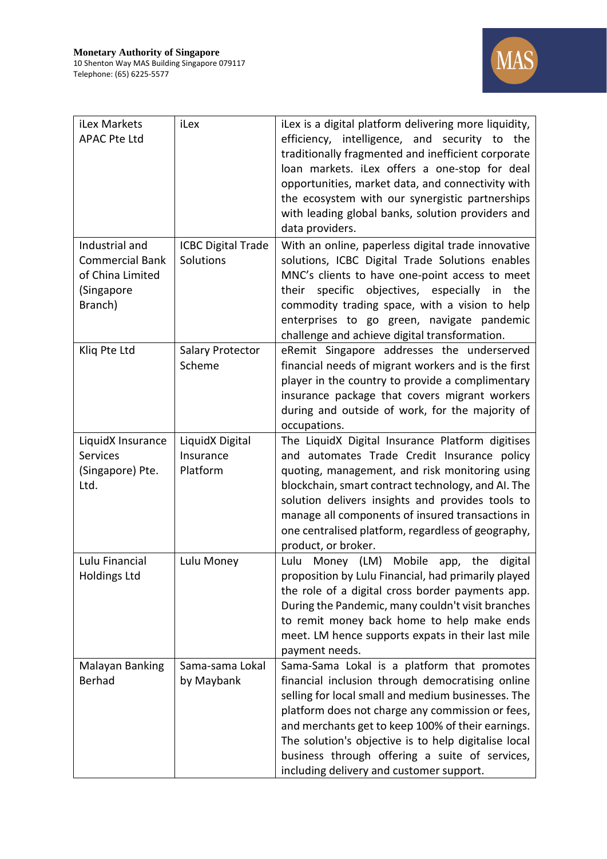

| iLex Markets<br><b>APAC Pte Ltd</b>                                                   | iLex                                     | iLex is a digital platform delivering more liquidity,<br>efficiency, intelligence, and security to<br>the<br>traditionally fragmented and inefficient corporate<br>loan markets. iLex offers a one-stop for deal<br>opportunities, market data, and connectivity with<br>the ecosystem with our synergistic partnerships<br>with leading global banks, solution providers and<br>data providers.                     |
|---------------------------------------------------------------------------------------|------------------------------------------|----------------------------------------------------------------------------------------------------------------------------------------------------------------------------------------------------------------------------------------------------------------------------------------------------------------------------------------------------------------------------------------------------------------------|
| Industrial and<br><b>Commercial Bank</b><br>of China Limited<br>(Singapore<br>Branch) | <b>ICBC Digital Trade</b><br>Solutions   | With an online, paperless digital trade innovative<br>solutions, ICBC Digital Trade Solutions enables<br>MNC's clients to have one-point access to meet<br>specific objectives, especially<br>their<br>the<br>in<br>commodity trading space, with a vision to help<br>enterprises to go green, navigate pandemic<br>challenge and achieve digital transformation.                                                    |
| Kliq Pte Ltd                                                                          | Salary Protector<br>Scheme               | eRemit Singapore addresses the underserved<br>financial needs of migrant workers and is the first<br>player in the country to provide a complimentary<br>insurance package that covers migrant workers<br>during and outside of work, for the majority of<br>occupations.                                                                                                                                            |
| LiquidX Insurance<br><b>Services</b><br>(Singapore) Pte.<br>Ltd.                      | LiquidX Digital<br>Insurance<br>Platform | The LiquidX Digital Insurance Platform digitises<br>and automates Trade Credit Insurance policy<br>quoting, management, and risk monitoring using<br>blockchain, smart contract technology, and AI. The<br>solution delivers insights and provides tools to<br>manage all components of insured transactions in<br>one centralised platform, regardless of geography,<br>product, or broker.                         |
| Lulu Financial<br><b>Holdings Ltd</b>                                                 | Lulu Money                               | Money (LM) Mobile app, the digital<br>Lulu<br>proposition by Lulu Financial, had primarily played<br>the role of a digital cross border payments app.<br>During the Pandemic, many couldn't visit branches<br>to remit money back home to help make ends<br>meet. LM hence supports expats in their last mile<br>payment needs.                                                                                      |
| Malayan Banking<br>Berhad                                                             | Sama-sama Lokal<br>by Maybank            | Sama-Sama Lokal is a platform that promotes<br>financial inclusion through democratising online<br>selling for local small and medium businesses. The<br>platform does not charge any commission or fees,<br>and merchants get to keep 100% of their earnings.<br>The solution's objective is to help digitalise local<br>business through offering a suite of services,<br>including delivery and customer support. |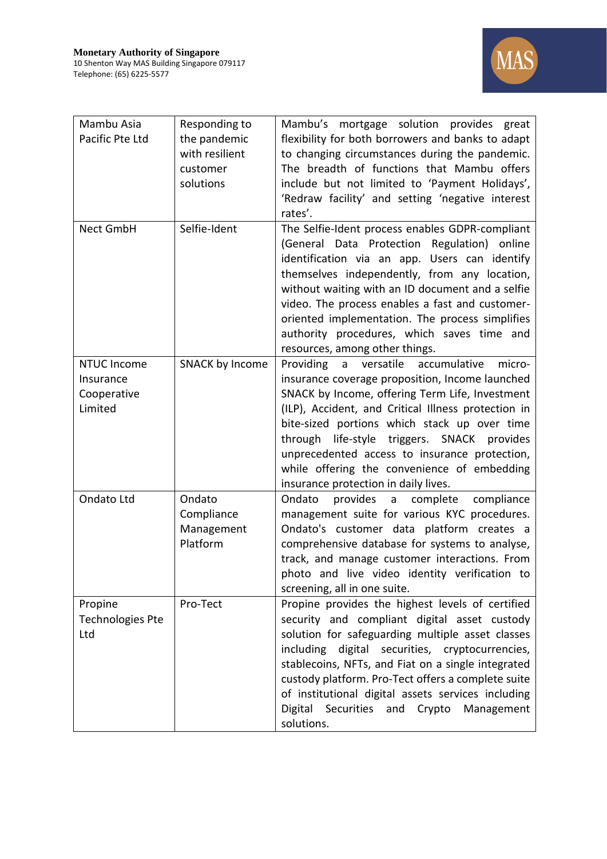

| Mambu Asia<br>Pacific Pte Ltd                             | Responding to<br>the pandemic<br>with resilient<br>customer<br>solutions | Mambu's mortgage solution provides great<br>flexibility for both borrowers and banks to adapt<br>to changing circumstances during the pandemic.<br>The breadth of functions that Mambu offers<br>include but not limited to 'Payment Holidays',<br>'Redraw facility' and setting 'negative interest<br>rates'.                                                                                                                                      |
|-----------------------------------------------------------|--------------------------------------------------------------------------|-----------------------------------------------------------------------------------------------------------------------------------------------------------------------------------------------------------------------------------------------------------------------------------------------------------------------------------------------------------------------------------------------------------------------------------------------------|
| Nect GmbH                                                 | Selfie-Ident                                                             | The Selfie-Ident process enables GDPR-compliant<br>(General Data Protection Regulation) online<br>identification via an app. Users can identify<br>themselves independently, from any location,<br>without waiting with an ID document and a selfie<br>video. The process enables a fast and customer-<br>oriented implementation. The process simplifies<br>authority procedures, which saves time and<br>resources, among other things.           |
| <b>NTUC Income</b><br>Insurance<br>Cooperative<br>Limited | <b>SNACK by Income</b>                                                   | Providing a versatile<br>accumulative<br>micro-<br>insurance coverage proposition, Income launched<br>SNACK by Income, offering Term Life, Investment<br>(ILP), Accident, and Critical Illness protection in<br>bite-sized portions which stack up over time<br>through life-style triggers. SNACK provides<br>unprecedented access to insurance protection,<br>while offering the convenience of embedding<br>insurance protection in daily lives. |
| Ondato Ltd                                                | Ondato<br>Compliance<br>Management<br>Platform                           | Ondato<br>provides a complete<br>compliance<br>management suite for various KYC procedures.<br>Ondato's customer data platform creates a<br>comprehensive database for systems to analyse,<br>track, and manage customer interactions. From<br>photo and live video identity verification to<br>screening, all in one suite.                                                                                                                        |
| Propine<br><b>Technologies Pte</b><br>Ltd                 | Pro-Tect                                                                 | Propine provides the highest levels of certified<br>security and compliant digital asset custody<br>solution for safeguarding multiple asset classes<br>including digital securities, cryptocurrencies,<br>stablecoins, NFTs, and Fiat on a single integrated<br>custody platform. Pro-Tect offers a complete suite<br>of institutional digital assets services including<br>Digital<br>Securities<br>Crypto<br>and<br>Management<br>solutions.     |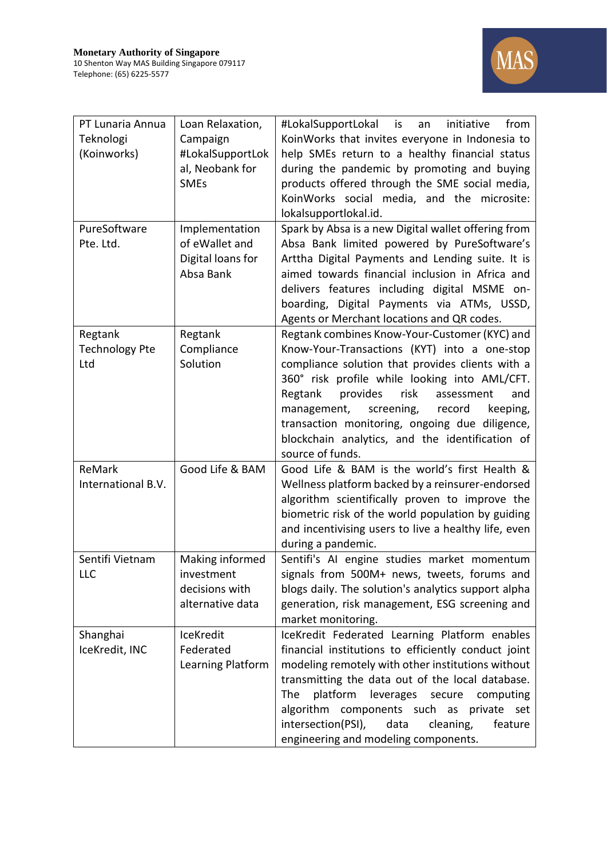

| PT Lunaria Annua      | Loan Relaxation,  | #LokalSupportLokal is<br>initiative<br>from<br>an    |
|-----------------------|-------------------|------------------------------------------------------|
| Teknologi             | Campaign          | KoinWorks that invites everyone in Indonesia to      |
| (Koinworks)           | #LokalSupportLok  | help SMEs return to a healthy financial status       |
|                       | al, Neobank for   | during the pandemic by promoting and buying          |
|                       | <b>SMEs</b>       | products offered through the SME social media,       |
|                       |                   | KoinWorks social media, and the microsite:           |
|                       |                   | lokalsupportlokal.id.                                |
| PureSoftware          | Implementation    | Spark by Absa is a new Digital wallet offering from  |
| Pte. Ltd.             | of eWallet and    | Absa Bank limited powered by PureSoftware's          |
|                       | Digital loans for | Arttha Digital Payments and Lending suite. It is     |
|                       | Absa Bank         | aimed towards financial inclusion in Africa and      |
|                       |                   | delivers features including digital MSME on-         |
|                       |                   | boarding, Digital Payments via ATMs, USSD,           |
|                       |                   | Agents or Merchant locations and QR codes.           |
| Regtank               | Regtank           | Regtank combines Know-Your-Customer (KYC) and        |
| <b>Technology Pte</b> | Compliance        | Know-Your-Transactions (KYT) into a one-stop         |
| Ltd                   | Solution          | compliance solution that provides clients with a     |
|                       |                   | 360° risk profile while looking into AML/CFT.        |
|                       |                   | risk<br>provides<br>Regtank<br>assessment<br>and     |
|                       |                   | keeping,<br>management,<br>screening,<br>record      |
|                       |                   | transaction monitoring, ongoing due diligence,       |
|                       |                   | blockchain analytics, and the identification of      |
|                       |                   | source of funds.                                     |
| ReMark                | Good Life & BAM   | Good Life & BAM is the world's first Health &        |
| International B.V.    |                   | Wellness platform backed by a reinsurer-endorsed     |
|                       |                   | algorithm scientifically proven to improve the       |
|                       |                   | biometric risk of the world population by guiding    |
|                       |                   | and incentivising users to live a healthy life, even |
|                       |                   | during a pandemic.                                   |
| Sentifi Vietnam       | Making informed   | Sentifi's AI engine studies market momentum          |
| LLC                   | investment        | signals from 500M+ news, tweets, forums and          |
|                       | decisions with    | blogs daily. The solution's analytics support alpha  |
|                       | alternative data  | generation, risk management, ESG screening and       |
|                       |                   | market monitoring.                                   |
| Shanghai              | IceKredit         | IceKredit Federated Learning Platform enables        |
| IceKredit, INC        | Federated         | financial institutions to efficiently conduct joint  |
|                       | Learning Platform | modeling remotely with other institutions without    |
|                       |                   | transmitting the data out of the local database.     |
|                       |                   | platform<br>The<br>leverages<br>secure<br>computing  |
|                       |                   | algorithm<br>components such as<br>private<br>set    |
|                       |                   | intersection(PSI),<br>data<br>cleaning,<br>feature   |
|                       |                   | engineering and modeling components.                 |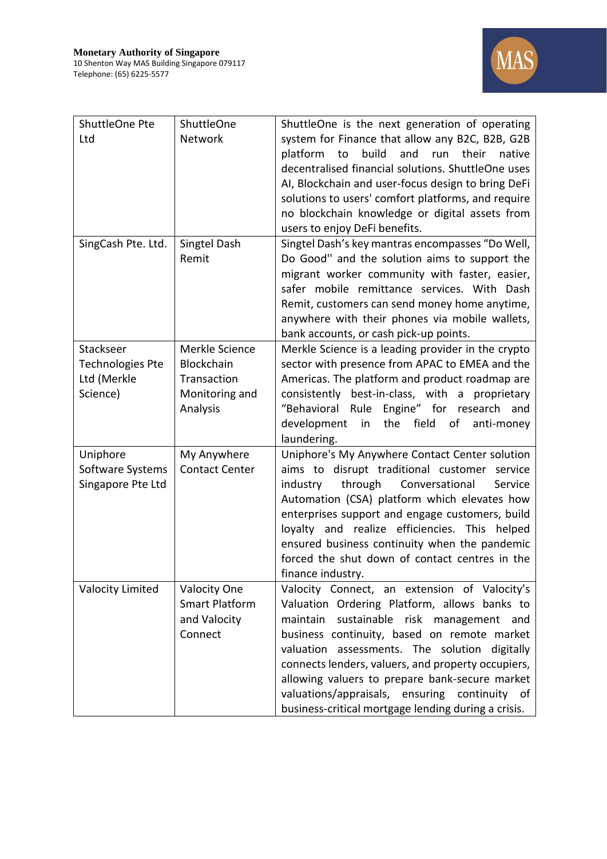

| ShuttleOne Pte          | ShuttleOne            | ShuttleOne is the next generation of operating           |
|-------------------------|-----------------------|----------------------------------------------------------|
| Ltd                     | Network               | system for Finance that allow any B2C, B2B, G2B          |
|                         |                       | build<br>platform<br>and<br>native<br>to<br>their<br>run |
|                         |                       | decentralised financial solutions. ShuttleOne uses       |
|                         |                       | AI, Blockchain and user-focus design to bring DeFi       |
|                         |                       | solutions to users' comfort platforms, and require       |
|                         |                       | no blockchain knowledge or digital assets from           |
|                         |                       | users to enjoy DeFi benefits.                            |
| SingCash Pte. Ltd.      | Singtel Dash          | Singtel Dash's key mantras encompasses "Do Well,         |
|                         | Remit                 | Do Good" and the solution aims to support the            |
|                         |                       | migrant worker community with faster, easier,            |
|                         |                       | safer mobile remittance services. With Dash              |
|                         |                       | Remit, customers can send money home anytime,            |
|                         |                       | anywhere with their phones via mobile wallets,           |
|                         |                       | bank accounts, or cash pick-up points.                   |
| Stackseer               | Merkle Science        | Merkle Science is a leading provider in the crypto       |
| <b>Technologies Pte</b> | <b>Blockchain</b>     | sector with presence from APAC to EMEA and the           |
| Ltd (Merkle             | Transaction           | Americas. The platform and product roadmap are           |
| Science)                | Monitoring and        | consistently best-in-class, with a proprietary           |
|                         | Analysis              | "Behavioral Rule Engine" for research<br>and             |
|                         |                       | field<br>development<br>the<br>of<br>in<br>anti-money    |
|                         |                       |                                                          |
|                         |                       | laundering.                                              |
| Uniphore                | My Anywhere           | Uniphore's My Anywhere Contact Center solution           |
| Software Systems        | <b>Contact Center</b> | aims to disrupt traditional customer service             |
| Singapore Pte Ltd       |                       | through<br>Conversational<br>Service<br>industry         |
|                         |                       | Automation (CSA) platform which elevates how             |
|                         |                       | enterprises support and engage customers, build          |
|                         |                       | loyalty and realize efficiencies. This helped            |
|                         |                       | ensured business continuity when the pandemic            |
|                         |                       | forced the shut down of contact centres in the           |
|                         |                       | finance industry.                                        |
| Valocity Limited        | <b>Valocity One</b>   | Valocity Connect, an extension of Valocity's             |
|                         | <b>Smart Platform</b> | Valuation Ordering Platform, allows banks to             |
|                         | and Valocity          | maintain<br>sustainable risk management<br>and           |
|                         | Connect               | business continuity, based on remote market              |
|                         |                       | valuation assessments. The solution digitally            |
|                         |                       | connects lenders, valuers, and property occupiers,       |
|                         |                       | allowing valuers to prepare bank-secure market           |
|                         |                       | valuations/appraisals, ensuring continuity of            |
|                         |                       | business-critical mortgage lending during a crisis.      |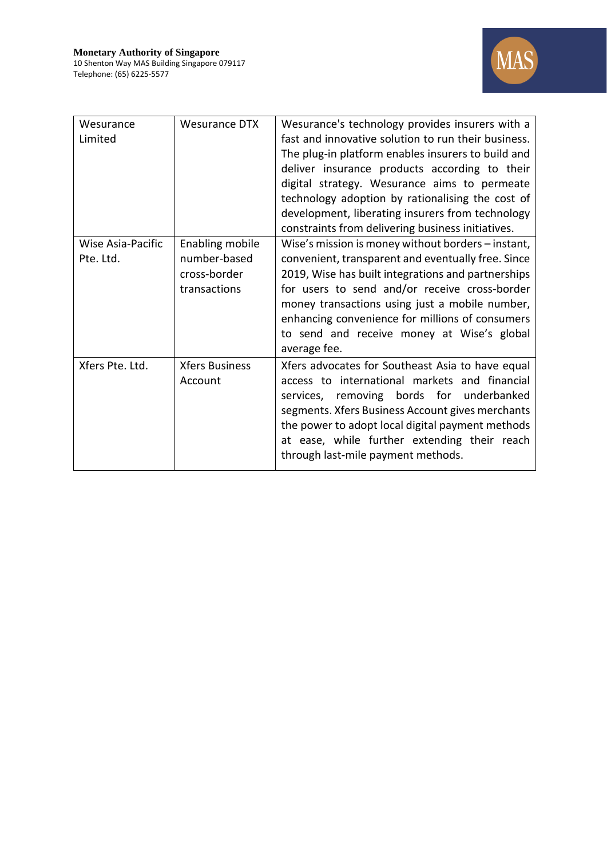

| Wesurance<br>Limited           | <b>Wesurance DTX</b>                                                   | Wesurance's technology provides insurers with a<br>fast and innovative solution to run their business.<br>The plug-in platform enables insurers to build and<br>deliver insurance products according to their<br>digital strategy. Wesurance aims to permeate<br>technology adoption by rationalising the cost of<br>development, liberating insurers from technology<br>constraints from delivering business initiatives. |
|--------------------------------|------------------------------------------------------------------------|----------------------------------------------------------------------------------------------------------------------------------------------------------------------------------------------------------------------------------------------------------------------------------------------------------------------------------------------------------------------------------------------------------------------------|
| Wise Asia-Pacific<br>Pte. Ltd. | <b>Enabling mobile</b><br>number-based<br>cross-border<br>transactions | Wise's mission is money without borders - instant,<br>convenient, transparent and eventually free. Since<br>2019, Wise has built integrations and partnerships<br>for users to send and/or receive cross-border<br>money transactions using just a mobile number,<br>enhancing convenience for millions of consumers<br>to send and receive money at Wise's global<br>average fee.                                         |
| Xfers Pte. Ltd.                | <b>Xfers Business</b><br>Account                                       | Xfers advocates for Southeast Asia to have equal<br>access to international markets and financial<br>services, removing bords for underbanked<br>segments. Xfers Business Account gives merchants<br>the power to adopt local digital payment methods<br>at ease, while further extending their reach<br>through last-mile payment methods.                                                                                |